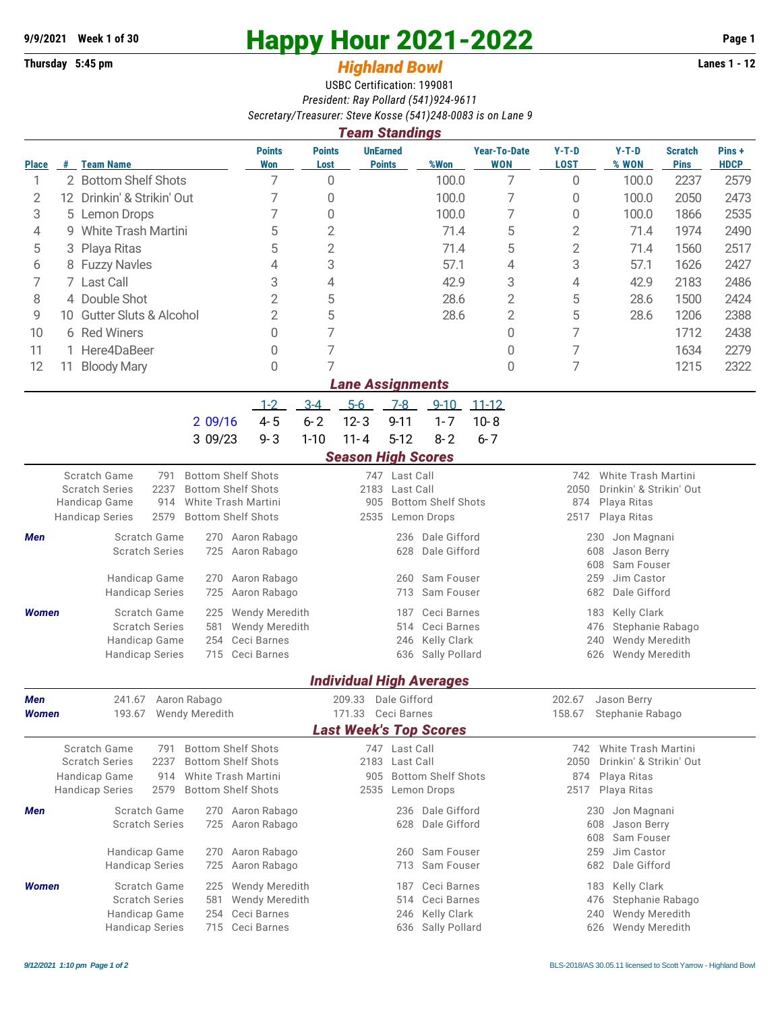## **9/9/2021** Week 1 of 30<br> **Happy Hour 2021-2022** Page 1<br> **Highland Rowl** Lanes 1 - 12<br>
Lanes 1 - 12

## **Thursday 5:45 pm** *Highland Bowl*

USBC Certification: 199081 *President: Ray Pollard (541)924-9611 Secretary/Treasurer: Steve Kosse (541)248-0083 is on Lane 9*

|                                                                                                                              | <b>Team Standings</b>                                                                                                                                                                                                        |                                                                                                                                                                                                                              |                                                                            |                                                                                                                        |                                                           |                                          |                                                                                             |                                                                                                      |                                                                                                            |                                                                                                                        |                               |                       |  |  |  |
|------------------------------------------------------------------------------------------------------------------------------|------------------------------------------------------------------------------------------------------------------------------------------------------------------------------------------------------------------------------|------------------------------------------------------------------------------------------------------------------------------------------------------------------------------------------------------------------------------|----------------------------------------------------------------------------|------------------------------------------------------------------------------------------------------------------------|-----------------------------------------------------------|------------------------------------------|---------------------------------------------------------------------------------------------|------------------------------------------------------------------------------------------------------|------------------------------------------------------------------------------------------------------------|------------------------------------------------------------------------------------------------------------------------|-------------------------------|-----------------------|--|--|--|
| <b>Place</b>                                                                                                                 | #                                                                                                                                                                                                                            | <b>Team Name</b>                                                                                                                                                                                                             | <b>Points</b><br>Won                                                       | <b>Points</b><br>Lost                                                                                                  | <b>UnEarned</b><br><b>Points</b>                          |                                          | %Won                                                                                        | <b>Year-To-Date</b><br><b>WON</b>                                                                    | $Y-T-D$<br><b>LOST</b>                                                                                     | $Y-T-D$<br>% WON                                                                                                       | <b>Scratch</b><br><b>Pins</b> | Pins +<br><b>HDCP</b> |  |  |  |
| 1                                                                                                                            |                                                                                                                                                                                                                              | 2 Bottom Shelf Shots                                                                                                                                                                                                         | 7                                                                          | 0                                                                                                                      |                                                           |                                          | 100.0                                                                                       | 7                                                                                                    | 0                                                                                                          | 100.0                                                                                                                  | 2237                          | 2579                  |  |  |  |
| 2                                                                                                                            |                                                                                                                                                                                                                              | 12 Drinkin' & Strikin' Out                                                                                                                                                                                                   | 7                                                                          | 0                                                                                                                      |                                                           |                                          | 100.0                                                                                       | 7                                                                                                    | 0                                                                                                          | 100.0                                                                                                                  | 2050                          | 2473                  |  |  |  |
| 3                                                                                                                            |                                                                                                                                                                                                                              | 5 Lemon Drops                                                                                                                                                                                                                | 7                                                                          | 0                                                                                                                      |                                                           |                                          | 100.0                                                                                       | 7                                                                                                    | 0                                                                                                          | 100.0                                                                                                                  | 1866                          | 2535                  |  |  |  |
| 4                                                                                                                            |                                                                                                                                                                                                                              | 9 White Trash Martini                                                                                                                                                                                                        | 5                                                                          | 2                                                                                                                      |                                                           |                                          | 71.4                                                                                        | 5                                                                                                    | $\mathbf{2}$                                                                                               | 71.4                                                                                                                   | 1974                          | 2490                  |  |  |  |
| 5                                                                                                                            | 3                                                                                                                                                                                                                            | Playa Ritas                                                                                                                                                                                                                  | 5                                                                          | $\overline{2}$                                                                                                         |                                                           |                                          | 71.4                                                                                        | 5                                                                                                    | $\overline{2}$                                                                                             | 71.4                                                                                                                   | 1560                          | 2517                  |  |  |  |
| 6                                                                                                                            |                                                                                                                                                                                                                              | 8 Fuzzy Navles                                                                                                                                                                                                               | 4                                                                          | 3                                                                                                                      |                                                           |                                          | 57.1                                                                                        | 4                                                                                                    | 3                                                                                                          | 57.1                                                                                                                   | 1626                          | 2427                  |  |  |  |
| 7                                                                                                                            |                                                                                                                                                                                                                              | 7 Last Call                                                                                                                                                                                                                  | 3<br>2                                                                     | 4                                                                                                                      |                                                           |                                          | 42.9                                                                                        | 3                                                                                                    | 4                                                                                                          | 42.9                                                                                                                   | 2183                          | 2486                  |  |  |  |
| 8                                                                                                                            | 4 Double Shot                                                                                                                                                                                                                |                                                                                                                                                                                                                              |                                                                            | 5                                                                                                                      |                                                           |                                          | 28.6                                                                                        | $\overline{2}$                                                                                       | 5                                                                                                          | 28.6                                                                                                                   | 1500                          | 2424                  |  |  |  |
|                                                                                                                              | 9<br>10 Gutter Sluts & Alcohol                                                                                                                                                                                               |                                                                                                                                                                                                                              |                                                                            | 5                                                                                                                      |                                                           |                                          | 28.6                                                                                        | $\overline{2}$                                                                                       | 5                                                                                                          | 28.6                                                                                                                   | 1206                          | 2388                  |  |  |  |
| 10                                                                                                                           |                                                                                                                                                                                                                              | 6 Red Winers                                                                                                                                                                                                                 | 0                                                                          | 7                                                                                                                      |                                                           |                                          |                                                                                             | 0                                                                                                    | 7                                                                                                          |                                                                                                                        | 1712                          | 2438                  |  |  |  |
| 11                                                                                                                           |                                                                                                                                                                                                                              | 1 Here4DaBeer                                                                                                                                                                                                                | 0                                                                          | 7                                                                                                                      |                                                           |                                          |                                                                                             | 0                                                                                                    | 7                                                                                                          |                                                                                                                        | 1634                          | 2279                  |  |  |  |
| 12                                                                                                                           |                                                                                                                                                                                                                              | 11 Bloody Mary                                                                                                                                                                                                               | 0                                                                          | 7                                                                                                                      |                                                           |                                          |                                                                                             | 0                                                                                                    | 7                                                                                                          |                                                                                                                        | 1215                          | 2322                  |  |  |  |
| <b>Lane Assignments</b>                                                                                                      |                                                                                                                                                                                                                              |                                                                                                                                                                                                                              |                                                                            |                                                                                                                        |                                                           |                                          |                                                                                             |                                                                                                      |                                                                                                            |                                                                                                                        |                               |                       |  |  |  |
|                                                                                                                              |                                                                                                                                                                                                                              |                                                                                                                                                                                                                              | $1 - 2$                                                                    | $3 - 4$                                                                                                                | $5-6$                                                     | $7 - 8$                                  | $9 - 10$                                                                                    | $11 - 12$                                                                                            |                                                                                                            |                                                                                                                        |                               |                       |  |  |  |
|                                                                                                                              |                                                                                                                                                                                                                              | 2 09/16                                                                                                                                                                                                                      | $4 - 5$                                                                    | $6 - 2$                                                                                                                | $12 - 3$                                                  | $9 - 11$                                 | $1 - 7$                                                                                     | $10 - 8$                                                                                             |                                                                                                            |                                                                                                                        |                               |                       |  |  |  |
|                                                                                                                              |                                                                                                                                                                                                                              | 3 09/23                                                                                                                                                                                                                      | $9 - 3$                                                                    | $1 - 10$                                                                                                               | $11 - 4$                                                  | $5-12$                                   | $8 - 2$                                                                                     | $6 - 7$                                                                                              |                                                                                                            |                                                                                                                        |                               |                       |  |  |  |
|                                                                                                                              |                                                                                                                                                                                                                              |                                                                                                                                                                                                                              |                                                                            |                                                                                                                        | <b>Season High Scores</b>                                 |                                          |                                                                                             |                                                                                                      |                                                                                                            |                                                                                                                        |                               |                       |  |  |  |
|                                                                                                                              | Scratch Game<br><b>Bottom Shelf Shots</b><br>791<br><b>Scratch Series</b><br>2237<br><b>Bottom Shelf Shots</b><br>Handicap Game<br>914<br>White Trash Martini<br>2579<br><b>Bottom Shelf Shots</b><br><b>Handicap Series</b> |                                                                                                                                                                                                                              |                                                                            |                                                                                                                        | 905<br>2535                                               | 747 Last Call<br>2183 Last Call          | <b>Bottom Shelf Shots</b><br>Lemon Drops                                                    |                                                                                                      | White Trash Martini<br>742<br>2050<br>Drinkin' & Strikin' Out<br>874<br>Playa Ritas<br>2517<br>Playa Ritas |                                                                                                                        |                               |                       |  |  |  |
| Men                                                                                                                          |                                                                                                                                                                                                                              | Scratch Game<br>270<br><b>Scratch Series</b><br>725<br>Handicap Game<br>270<br><b>Handicap Series</b><br>725                                                                                                                 | Aaron Rabago<br>Aaron Rabago<br>Aaron Rabago<br>Aaron Rabago               |                                                                                                                        |                                                           | 236<br>628<br>260<br>713                 | Dale Gifford<br>Dale Gifford<br>Sam Fouser<br>Sam Fouser                                    |                                                                                                      | Jon Magnani<br>230<br>608<br>Jason Berry<br>608<br>Sam Fouser<br>Jim Castor<br>259<br>682<br>Dale Gifford  |                                                                                                                        |                               |                       |  |  |  |
| Scratch Game<br><b>Women</b><br>225<br><b>Scratch Series</b><br>581<br>Handicap Game<br>254<br><b>Handicap Series</b><br>715 |                                                                                                                                                                                                                              |                                                                                                                                                                                                                              | Wendy Meredith<br><b>Wendy Meredith</b><br>Ceci Barnes<br>Ceci Barnes      | Ceci Barnes<br>187<br>Ceci Barnes<br>514<br>Kelly Clark<br>246<br>636 Sally Pollard<br><b>Individual High Averages</b> |                                                           |                                          |                                                                                             |                                                                                                      | Kelly Clark<br>183<br>Stephanie Rabago<br>476<br>240<br>Wendy Meredith<br>626<br>Wendy Meredith            |                                                                                                                        |                               |                       |  |  |  |
| Men                                                                                                                          |                                                                                                                                                                                                                              | 241.67 Aaron Rabago                                                                                                                                                                                                          |                                                                            |                                                                                                                        |                                                           |                                          |                                                                                             |                                                                                                      |                                                                                                            |                                                                                                                        |                               |                       |  |  |  |
| 193.67 Wendy Meredith<br><b>Women</b>                                                                                        |                                                                                                                                                                                                                              |                                                                                                                                                                                                                              | 209.33 Dale Gifford<br>171.33 Ceci Barnes                                  |                                                                                                                        |                                                           |                                          |                                                                                             |                                                                                                      | 202.67 Jason Berry<br>Stephanie Rabago<br>158.67                                                           |                                                                                                                        |                               |                       |  |  |  |
|                                                                                                                              |                                                                                                                                                                                                                              |                                                                                                                                                                                                                              |                                                                            |                                                                                                                        |                                                           |                                          | <b>Last Week's Top Scores</b>                                                               |                                                                                                      |                                                                                                            |                                                                                                                        |                               |                       |  |  |  |
|                                                                                                                              |                                                                                                                                                                                                                              | Scratch Game<br><b>Bottom Shelf Shots</b><br>791<br><b>Scratch Series</b><br><b>Bottom Shelf Shots</b><br>2237<br>White Trash Martini<br>Handicap Game<br>914<br><b>Handicap Series</b><br>2579<br><b>Bottom Shelf Shots</b> |                                                                            | 905<br>2535                                                                                                            | 747 Last Call<br>2183 Last Call                           | <b>Bottom Shelf Shots</b><br>Lemon Drops |                                                                                             | 742 White Trash Martini<br>Drinkin' & Strikin' Out<br>2050<br>Playa Ritas<br>874<br>2517 Playa Ritas |                                                                                                            |                                                                                                                        |                               |                       |  |  |  |
| Scratch Game<br>270 Aaron Rabago<br>Men<br><b>Scratch Series</b><br>725 Aaron Rabago<br>Handicap Game<br>Aaron Rabago<br>270 |                                                                                                                                                                                                                              |                                                                                                                                                                                                                              |                                                                            |                                                                                                                        | 236 Dale Gifford<br>628<br>Dale Gifford<br>260 Sam Fouser |                                          |                                                                                             |                                                                                                      |                                                                                                            | Jon Magnani<br>230<br>Jason Berry<br>608<br>608<br>Sam Fouser<br>Jim Castor<br>259                                     |                               |                       |  |  |  |
| <b>Women</b>                                                                                                                 |                                                                                                                                                                                                                              | <b>Handicap Series</b><br>725<br>Scratch Game<br><b>Scratch Series</b><br>581<br>Handicap Game<br>254<br><b>Handicap Series</b><br>715 Ceci Barnes                                                                           | Aaron Rabago<br>225 Wendy Meredith<br><b>Wendy Meredith</b><br>Ceci Barnes |                                                                                                                        |                                                           | 514<br>246                               | 713 Sam Fouser<br>187 Ceci Barnes<br>Ceci Barnes<br><b>Kelly Clark</b><br>636 Sally Pollard |                                                                                                      |                                                                                                            | 682<br>Dale Gifford<br>Kelly Clark<br>183<br>476<br>Stephanie Rabago<br>Wendy Meredith<br>240<br>Wendy Meredith<br>626 |                               |                       |  |  |  |